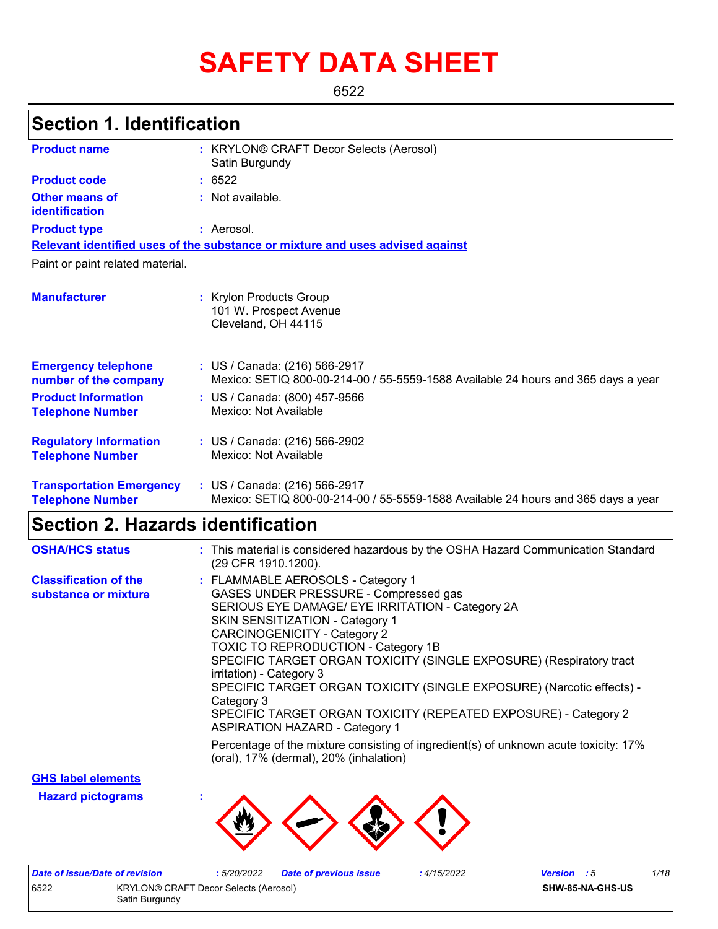# **SAFETY DATA SHEET**

6522

## **Section 1. Identification**

| <b>Product name</b>                                        | : KRYLON® CRAFT Decor Selects (Aerosol)<br>Satin Burgundy                                                          |
|------------------------------------------------------------|--------------------------------------------------------------------------------------------------------------------|
| <b>Product code</b>                                        | : 6522                                                                                                             |
| Other means of<br>identification                           | : Not available.                                                                                                   |
| <b>Product type</b>                                        | : Aerosol.                                                                                                         |
|                                                            | Relevant identified uses of the substance or mixture and uses advised against                                      |
| Paint or paint related material.                           |                                                                                                                    |
| <b>Manufacturer</b>                                        | : Krylon Products Group<br>101 W. Prospect Avenue<br>Cleveland, OH 44115                                           |
| <b>Emergency telephone</b><br>number of the company        | : US / Canada: (216) 566-2917<br>Mexico: SETIQ 800-00-214-00 / 55-5559-1588 Available 24 hours and 365 days a year |
| <b>Product Information</b><br><b>Telephone Number</b>      | : US / Canada: (800) 457-9566<br>Mexico: Not Available                                                             |
| <b>Regulatory Information</b><br><b>Telephone Number</b>   | : US / Canada: (216) 566-2902<br>Mexico: Not Available                                                             |
| <b>Transportation Emergency</b><br><b>Telephone Number</b> | : US / Canada: (216) 566-2917<br>Mexico: SETIQ 800-00-214-00 / 55-5559-1588 Available 24 hours and 365 days a year |

### **Section 2. Hazards identification**

| <b>OSHA/HCS status</b>                               | : This material is considered hazardous by the OSHA Hazard Communication Standard<br>(29 CFR 1910.1200).                                                                                                                                                                                                                                                                                                                                                                                                                                              |
|------------------------------------------------------|-------------------------------------------------------------------------------------------------------------------------------------------------------------------------------------------------------------------------------------------------------------------------------------------------------------------------------------------------------------------------------------------------------------------------------------------------------------------------------------------------------------------------------------------------------|
| <b>Classification of the</b><br>substance or mixture | : FLAMMABLE AEROSOLS - Category 1<br>GASES UNDER PRESSURE - Compressed gas<br>SERIOUS EYE DAMAGE/ EYE IRRITATION - Category 2A<br>SKIN SENSITIZATION - Category 1<br><b>CARCINOGENICITY - Category 2</b><br>TOXIC TO REPRODUCTION - Category 1B<br>SPECIFIC TARGET ORGAN TOXICITY (SINGLE EXPOSURE) (Respiratory tract<br>irritation) - Category 3<br>SPECIFIC TARGET ORGAN TOXICITY (SINGLE EXPOSURE) (Narcotic effects) -<br>Category 3<br>SPECIFIC TARGET ORGAN TOXICITY (REPEATED EXPOSURE) - Category 2<br><b>ASPIRATION HAZARD - Category 1</b> |
|                                                      | Percentage of the mixture consisting of ingredient(s) of unknown acute toxicity: 17%<br>(oral), 17% (dermal), 20% (inhalation)                                                                                                                                                                                                                                                                                                                                                                                                                        |

**GHS label elements**

**Hazard pictograms :**



| Date of issue/Date of revision |                                              | : 5/20/2022 | Date of previous issue | 4/15/2022 | <b>Version</b> : 5 |                  | 1/18 |
|--------------------------------|----------------------------------------------|-------------|------------------------|-----------|--------------------|------------------|------|
| 6522                           | <b>KRYLON® CRAFT Decor Selects (Aerosol)</b> |             |                        |           |                    | SHW-85-NA-GHS-US |      |
|                                | Satin Burgundy                               |             |                        |           |                    |                  |      |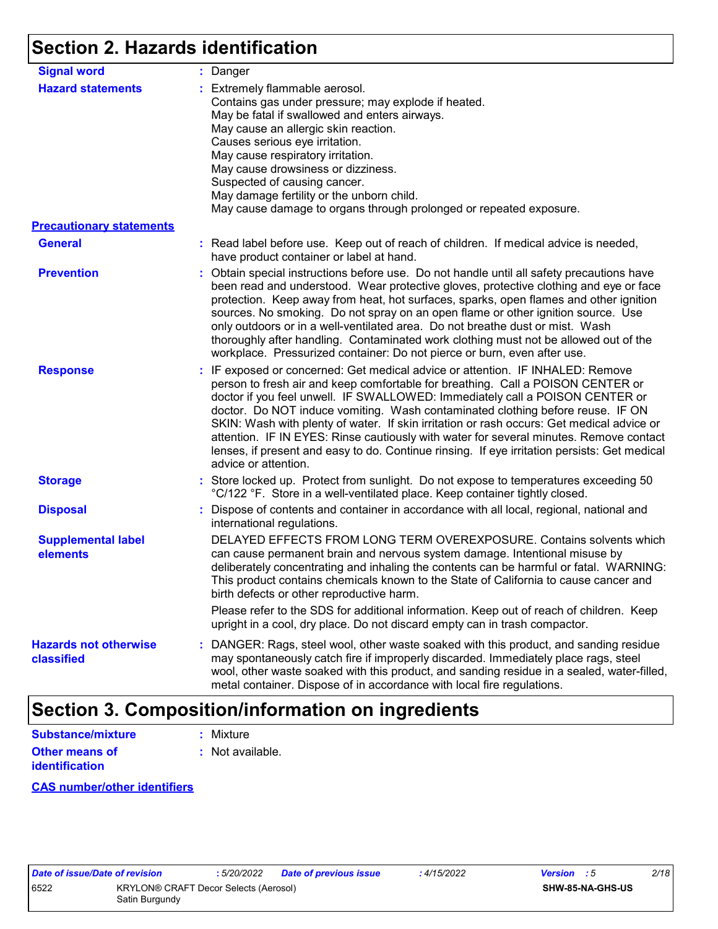## **Section 2. Hazards identification**

| <b>Signal word</b>                         | : Danger                                                                                                                                                                                                                                                                                                                                                                                                                                                                                                                                                                                                                                           |
|--------------------------------------------|----------------------------------------------------------------------------------------------------------------------------------------------------------------------------------------------------------------------------------------------------------------------------------------------------------------------------------------------------------------------------------------------------------------------------------------------------------------------------------------------------------------------------------------------------------------------------------------------------------------------------------------------------|
| <b>Hazard statements</b>                   | : Extremely flammable aerosol.<br>Contains gas under pressure; may explode if heated.<br>May be fatal if swallowed and enters airways.<br>May cause an allergic skin reaction.<br>Causes serious eye irritation.<br>May cause respiratory irritation.<br>May cause drowsiness or dizziness.<br>Suspected of causing cancer.<br>May damage fertility or the unborn child.<br>May cause damage to organs through prolonged or repeated exposure.                                                                                                                                                                                                     |
| <b>Precautionary statements</b>            |                                                                                                                                                                                                                                                                                                                                                                                                                                                                                                                                                                                                                                                    |
| <b>General</b>                             | : Read label before use. Keep out of reach of children. If medical advice is needed,<br>have product container or label at hand.                                                                                                                                                                                                                                                                                                                                                                                                                                                                                                                   |
| <b>Prevention</b>                          | : Obtain special instructions before use. Do not handle until all safety precautions have<br>been read and understood. Wear protective gloves, protective clothing and eye or face<br>protection. Keep away from heat, hot surfaces, sparks, open flames and other ignition<br>sources. No smoking. Do not spray on an open flame or other ignition source. Use<br>only outdoors or in a well-ventilated area. Do not breathe dust or mist. Wash<br>thoroughly after handling. Contaminated work clothing must not be allowed out of the<br>workplace. Pressurized container: Do not pierce or burn, even after use.                               |
| <b>Response</b>                            | : IF exposed or concerned: Get medical advice or attention. IF INHALED: Remove<br>person to fresh air and keep comfortable for breathing. Call a POISON CENTER or<br>doctor if you feel unwell. IF SWALLOWED: Immediately call a POISON CENTER or<br>doctor. Do NOT induce vomiting. Wash contaminated clothing before reuse. IF ON<br>SKIN: Wash with plenty of water. If skin irritation or rash occurs: Get medical advice or<br>attention. IF IN EYES: Rinse cautiously with water for several minutes. Remove contact<br>lenses, if present and easy to do. Continue rinsing. If eye irritation persists: Get medical<br>advice or attention. |
| <b>Storage</b>                             | : Store locked up. Protect from sunlight. Do not expose to temperatures exceeding 50<br>°C/122 °F. Store in a well-ventilated place. Keep container tightly closed.                                                                                                                                                                                                                                                                                                                                                                                                                                                                                |
| <b>Disposal</b>                            | : Dispose of contents and container in accordance with all local, regional, national and<br>international regulations.                                                                                                                                                                                                                                                                                                                                                                                                                                                                                                                             |
| <b>Supplemental label</b><br>elements      | DELAYED EFFECTS FROM LONG TERM OVEREXPOSURE. Contains solvents which<br>can cause permanent brain and nervous system damage. Intentional misuse by<br>deliberately concentrating and inhaling the contents can be harmful or fatal. WARNING:<br>This product contains chemicals known to the State of California to cause cancer and<br>birth defects or other reproductive harm.                                                                                                                                                                                                                                                                  |
|                                            | Please refer to the SDS for additional information. Keep out of reach of children. Keep<br>upright in a cool, dry place. Do not discard empty can in trash compactor.                                                                                                                                                                                                                                                                                                                                                                                                                                                                              |
| <b>Hazards not otherwise</b><br>classified | : DANGER: Rags, steel wool, other waste soaked with this product, and sanding residue<br>may spontaneously catch fire if improperly discarded. Immediately place rags, steel<br>wool, other waste soaked with this product, and sanding residue in a sealed, water-filled,<br>metal container. Dispose of in accordance with local fire regulations.                                                                                                                                                                                                                                                                                               |

## **Section 3. Composition/information on ingredients**

| Substance/mixture     | : Mixture        |
|-----------------------|------------------|
| <b>Other means of</b> | : Not available. |
| <b>identification</b> |                  |

#### **CAS number/other identifiers**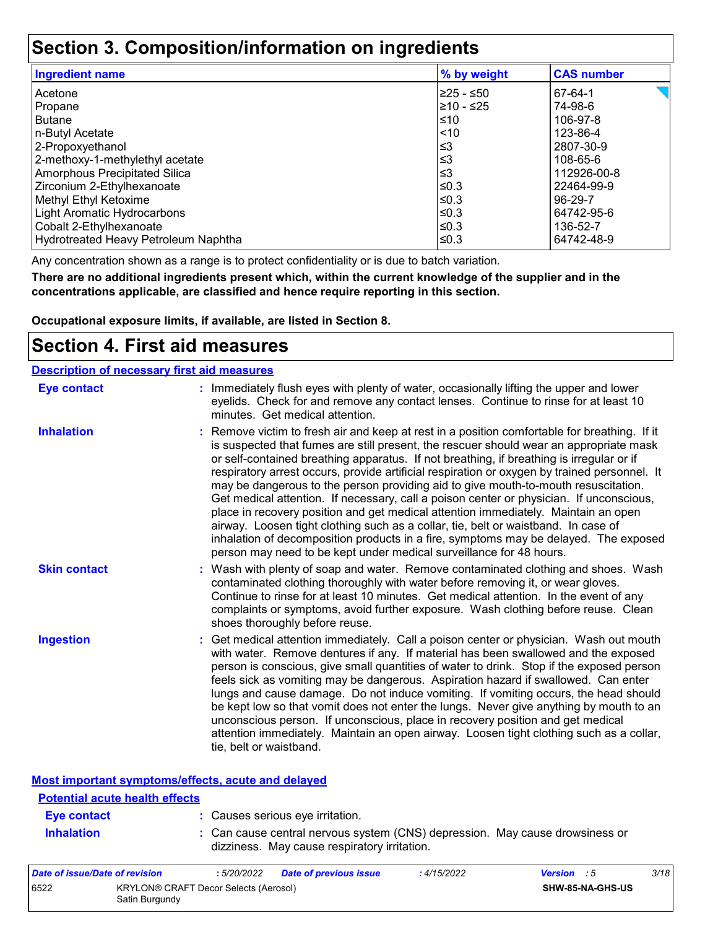## **Section 3. Composition/information on ingredients**

| <b>Ingredient name</b>               | % by weight | <b>CAS number</b> |
|--------------------------------------|-------------|-------------------|
| Acetone                              | l≥25 - ≤50  | 67-64-1           |
| Propane                              | l≥10 - ≤25  | 74-98-6           |
| <b>Butane</b>                        | ≤10         | 106-97-8          |
| n-Butyl Acetate                      | $ $ < 10    | 123-86-4          |
| 2-Propoxyethanol                     | $\leq$ 3    | 2807-30-9         |
| 2-methoxy-1-methylethyl acetate      | $\leq$ 3    | 108-65-6          |
| Amorphous Precipitated Silica        | ՝≤3         | 112926-00-8       |
| Zirconium 2-Ethylhexanoate           | l≤0.3       | 22464-99-9        |
| Methyl Ethyl Ketoxime                | ≤0.3        | 96-29-7           |
| Light Aromatic Hydrocarbons          | ≤0.3        | 64742-95-6        |
| Cobalt 2-Ethylhexanoate              | ≤0.3        | 136-52-7          |
| Hydrotreated Heavy Petroleum Naphtha | ≤0.3        | 64742-48-9        |

Any concentration shown as a range is to protect confidentiality or is due to batch variation.

**There are no additional ingredients present which, within the current knowledge of the supplier and in the concentrations applicable, are classified and hence require reporting in this section.**

**Occupational exposure limits, if available, are listed in Section 8.**

### **Section 4. First aid measures**

| <b>Description of necessary first aid measures</b> |                                                                                                                                                                                                                                                                                                                                                                                                                                                                                                                                                                                                                                                                                                                                                                                                                                                                                                                |
|----------------------------------------------------|----------------------------------------------------------------------------------------------------------------------------------------------------------------------------------------------------------------------------------------------------------------------------------------------------------------------------------------------------------------------------------------------------------------------------------------------------------------------------------------------------------------------------------------------------------------------------------------------------------------------------------------------------------------------------------------------------------------------------------------------------------------------------------------------------------------------------------------------------------------------------------------------------------------|
| <b>Eye contact</b>                                 | : Immediately flush eyes with plenty of water, occasionally lifting the upper and lower<br>eyelids. Check for and remove any contact lenses. Continue to rinse for at least 10<br>minutes. Get medical attention.                                                                                                                                                                                                                                                                                                                                                                                                                                                                                                                                                                                                                                                                                              |
| <b>Inhalation</b>                                  | : Remove victim to fresh air and keep at rest in a position comfortable for breathing. If it<br>is suspected that fumes are still present, the rescuer should wear an appropriate mask<br>or self-contained breathing apparatus. If not breathing, if breathing is irregular or if<br>respiratory arrest occurs, provide artificial respiration or oxygen by trained personnel. It<br>may be dangerous to the person providing aid to give mouth-to-mouth resuscitation.<br>Get medical attention. If necessary, call a poison center or physician. If unconscious,<br>place in recovery position and get medical attention immediately. Maintain an open<br>airway. Loosen tight clothing such as a collar, tie, belt or waistband. In case of<br>inhalation of decomposition products in a fire, symptoms may be delayed. The exposed<br>person may need to be kept under medical surveillance for 48 hours. |
| <b>Skin contact</b>                                | : Wash with plenty of soap and water. Remove contaminated clothing and shoes. Wash<br>contaminated clothing thoroughly with water before removing it, or wear gloves.<br>Continue to rinse for at least 10 minutes. Get medical attention. In the event of any<br>complaints or symptoms, avoid further exposure. Wash clothing before reuse. Clean<br>shoes thoroughly before reuse.                                                                                                                                                                                                                                                                                                                                                                                                                                                                                                                          |
| <b>Ingestion</b>                                   | : Get medical attention immediately. Call a poison center or physician. Wash out mouth<br>with water. Remove dentures if any. If material has been swallowed and the exposed<br>person is conscious, give small quantities of water to drink. Stop if the exposed person<br>feels sick as vomiting may be dangerous. Aspiration hazard if swallowed. Can enter<br>lungs and cause damage. Do not induce vomiting. If vomiting occurs, the head should<br>be kept low so that vomit does not enter the lungs. Never give anything by mouth to an<br>unconscious person. If unconscious, place in recovery position and get medical<br>attention immediately. Maintain an open airway. Loosen tight clothing such as a collar,<br>tie, belt or waistband.                                                                                                                                                        |

| <b>Potential acute health effects</b> |                                                                                                                              |
|---------------------------------------|------------------------------------------------------------------------------------------------------------------------------|
| Eye contact                           | : Causes serious eye irritation.                                                                                             |
| <b>Inhalation</b>                     | : Can cause central nervous system (CNS) depression. May cause drowsiness or<br>dizziness. May cause respiratory irritation. |

| Date of issue/Date of revision |                                                         | 5/20/2022 | <b>Date of previous issue</b> | : 4/15/2022 | <b>Version</b> : 5 |                  | 3/18 |
|--------------------------------|---------------------------------------------------------|-----------|-------------------------------|-------------|--------------------|------------------|------|
| 6522                           | KRYLON® CRAFT Decor Selects (Aerosol)<br>Satin Burgundy |           |                               |             |                    | SHW-85-NA-GHS-US |      |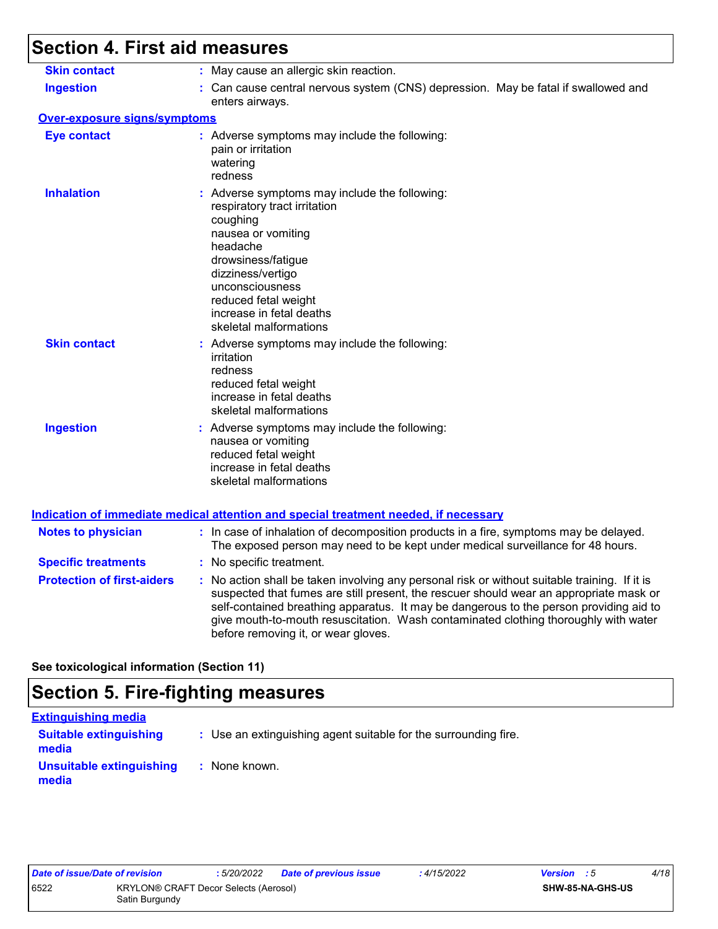## **Section 4. First aid measures**

| <b>Skin contact</b>               | : May cause an allergic skin reaction.                                                                                                                                                                                                                                                                                                                                                                          |
|-----------------------------------|-----------------------------------------------------------------------------------------------------------------------------------------------------------------------------------------------------------------------------------------------------------------------------------------------------------------------------------------------------------------------------------------------------------------|
| <b>Ingestion</b>                  | : Can cause central nervous system (CNS) depression. May be fatal if swallowed and<br>enters airways.                                                                                                                                                                                                                                                                                                           |
| Over-exposure signs/symptoms      |                                                                                                                                                                                                                                                                                                                                                                                                                 |
| <b>Eye contact</b>                | : Adverse symptoms may include the following:<br>pain or irritation<br>watering<br>redness                                                                                                                                                                                                                                                                                                                      |
| <b>Inhalation</b>                 | : Adverse symptoms may include the following:<br>respiratory tract irritation<br>coughing<br>nausea or vomiting<br>headache<br>drowsiness/fatigue<br>dizziness/vertigo<br>unconsciousness<br>reduced fetal weight<br>increase in fetal deaths<br>skeletal malformations                                                                                                                                         |
| <b>Skin contact</b>               | : Adverse symptoms may include the following:<br>irritation<br>redness<br>reduced fetal weight<br>increase in fetal deaths<br>skeletal malformations                                                                                                                                                                                                                                                            |
| <b>Ingestion</b>                  | : Adverse symptoms may include the following:<br>nausea or vomiting<br>reduced fetal weight<br>increase in fetal deaths<br>skeletal malformations<br><u>Indication of immediate medical attention and special treatment needed, if necessary</u>                                                                                                                                                                |
|                                   |                                                                                                                                                                                                                                                                                                                                                                                                                 |
| <b>Notes to physician</b>         | : In case of inhalation of decomposition products in a fire, symptoms may be delayed.<br>The exposed person may need to be kept under medical surveillance for 48 hours.                                                                                                                                                                                                                                        |
| <b>Specific treatments</b>        | : No specific treatment.                                                                                                                                                                                                                                                                                                                                                                                        |
| <b>Protection of first-aiders</b> | : No action shall be taken involving any personal risk or without suitable training. If it is<br>suspected that fumes are still present, the rescuer should wear an appropriate mask or<br>self-contained breathing apparatus. It may be dangerous to the person providing aid to<br>give mouth-to-mouth resuscitation. Wash contaminated clothing thoroughly with water<br>before removing it, or wear gloves. |

**See toxicological information (Section 11)**

## **Section 5. Fire-fighting measures**

| <b>Extinguishing media</b>             |                                                                 |  |
|----------------------------------------|-----------------------------------------------------------------|--|
| <b>Suitable extinguishing</b><br>media | : Use an extinguishing agent suitable for the surrounding fire. |  |
| Unsuitable extinguishing<br>media      | : None known.                                                   |  |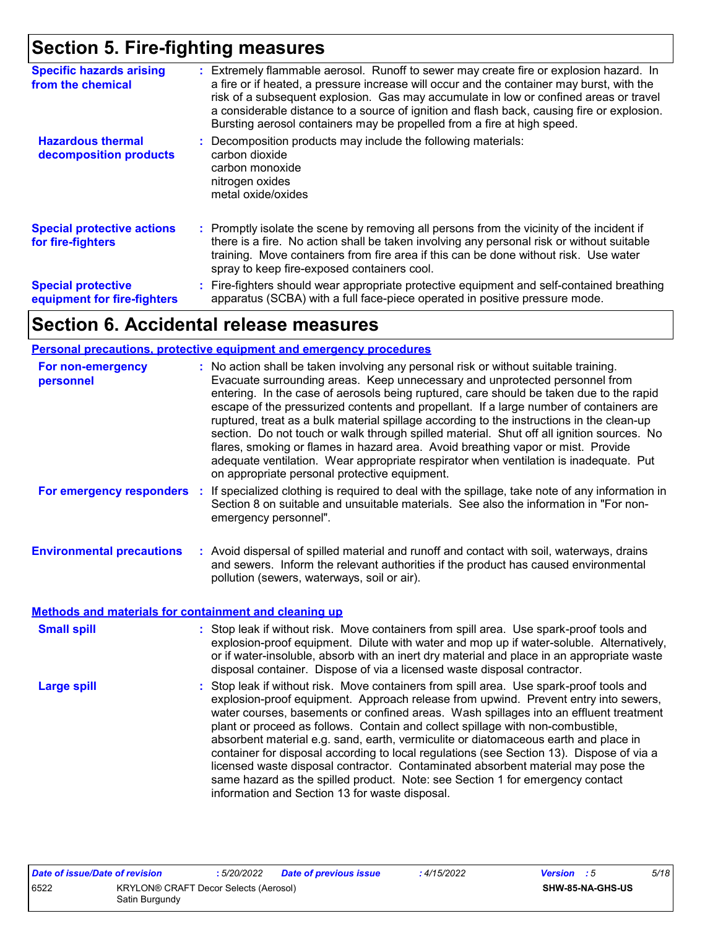## **Section 5. Fire-fighting measures**

| <b>Specific hazards arising</b><br>from the chemical     | : Extremely flammable aerosol. Runoff to sewer may create fire or explosion hazard. In<br>a fire or if heated, a pressure increase will occur and the container may burst, with the<br>risk of a subsequent explosion. Gas may accumulate in low or confined areas or travel<br>a considerable distance to a source of ignition and flash back, causing fire or explosion.<br>Bursting aerosol containers may be propelled from a fire at high speed. |
|----------------------------------------------------------|-------------------------------------------------------------------------------------------------------------------------------------------------------------------------------------------------------------------------------------------------------------------------------------------------------------------------------------------------------------------------------------------------------------------------------------------------------|
| <b>Hazardous thermal</b><br>decomposition products       | : Decomposition products may include the following materials:<br>carbon dioxide<br>carbon monoxide<br>nitrogen oxides<br>metal oxide/oxides                                                                                                                                                                                                                                                                                                           |
| <b>Special protective actions</b><br>for fire-fighters   | : Promptly isolate the scene by removing all persons from the vicinity of the incident if<br>there is a fire. No action shall be taken involving any personal risk or without suitable<br>training. Move containers from fire area if this can be done without risk. Use water<br>spray to keep fire-exposed containers cool.                                                                                                                         |
| <b>Special protective</b><br>equipment for fire-fighters | : Fire-fighters should wear appropriate protective equipment and self-contained breathing<br>apparatus (SCBA) with a full face-piece operated in positive pressure mode.                                                                                                                                                                                                                                                                              |

### **Section 6. Accidental release measures**

#### **Personal precautions, protective equipment and emergency procedures**

| For non-emergency<br>personnel                               | : No action shall be taken involving any personal risk or without suitable training.<br>Evacuate surrounding areas. Keep unnecessary and unprotected personnel from<br>entering. In the case of aerosols being ruptured, care should be taken due to the rapid<br>escape of the pressurized contents and propellant. If a large number of containers are<br>ruptured, treat as a bulk material spillage according to the instructions in the clean-up<br>section. Do not touch or walk through spilled material. Shut off all ignition sources. No<br>flares, smoking or flames in hazard area. Avoid breathing vapor or mist. Provide<br>adequate ventilation. Wear appropriate respirator when ventilation is inadequate. Put<br>on appropriate personal protective equipment. |
|--------------------------------------------------------------|----------------------------------------------------------------------------------------------------------------------------------------------------------------------------------------------------------------------------------------------------------------------------------------------------------------------------------------------------------------------------------------------------------------------------------------------------------------------------------------------------------------------------------------------------------------------------------------------------------------------------------------------------------------------------------------------------------------------------------------------------------------------------------|
| For emergency responders :                                   | If specialized clothing is required to deal with the spillage, take note of any information in<br>Section 8 on suitable and unsuitable materials. See also the information in "For non-<br>emergency personnel".                                                                                                                                                                                                                                                                                                                                                                                                                                                                                                                                                                 |
| <b>Environmental precautions</b>                             | : Avoid dispersal of spilled material and runoff and contact with soil, waterways, drains<br>and sewers. Inform the relevant authorities if the product has caused environmental<br>pollution (sewers, waterways, soil or air).                                                                                                                                                                                                                                                                                                                                                                                                                                                                                                                                                  |
| <b>Methods and materials for containment and cleaning up</b> |                                                                                                                                                                                                                                                                                                                                                                                                                                                                                                                                                                                                                                                                                                                                                                                  |
| <b>Small spill</b>                                           | : Stop leak if without risk. Move containers from spill area. Use spark-proof tools and<br>explosion-proof equipment. Dilute with water and mop up if water-soluble. Alternatively,<br>or if water-insoluble, absorb with an inert dry material and place in an appropriate waste<br>disposal container. Dispose of via a licensed waste disposal contractor.                                                                                                                                                                                                                                                                                                                                                                                                                    |
| <b>Large spill</b>                                           | : Stop leak if without risk. Move containers from spill area. Use spark-proof tools and<br>explosion-proof equipment. Approach release from upwind. Prevent entry into sewers,<br>water courses, basements or confined areas. Wash spillages into an effluent treatment<br>plant or proceed as follows. Contain and collect spillage with non-combustible,<br>absorbent material e.g. sand, earth, vermiculite or diatomaceous earth and place in<br>container for disposal according to local regulations (see Section 13). Dispose of via a<br>licensed waste disposal contractor. Contaminated absorbent material may pose the<br>same hazard as the spilled product. Note: see Section 1 for emergency contact<br>information and Section 13 for waste disposal.             |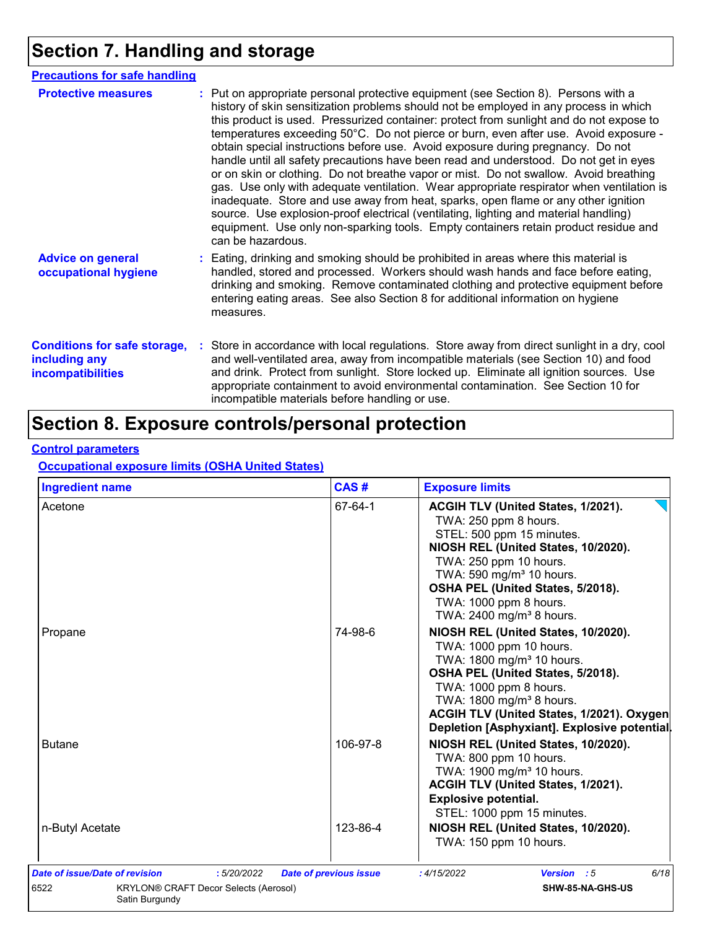## **Section 7. Handling and storage**

| <b>Precautions for safe handling</b>                                             |                                                                                                                                                                                                                                                                                                                                                                                                                                                                                                                                                                                                                                                                                                                                                                                                                                                                                                                                                                                                                           |
|----------------------------------------------------------------------------------|---------------------------------------------------------------------------------------------------------------------------------------------------------------------------------------------------------------------------------------------------------------------------------------------------------------------------------------------------------------------------------------------------------------------------------------------------------------------------------------------------------------------------------------------------------------------------------------------------------------------------------------------------------------------------------------------------------------------------------------------------------------------------------------------------------------------------------------------------------------------------------------------------------------------------------------------------------------------------------------------------------------------------|
| <b>Protective measures</b>                                                       | : Put on appropriate personal protective equipment (see Section 8). Persons with a<br>history of skin sensitization problems should not be employed in any process in which<br>this product is used. Pressurized container: protect from sunlight and do not expose to<br>temperatures exceeding 50°C. Do not pierce or burn, even after use. Avoid exposure -<br>obtain special instructions before use. Avoid exposure during pregnancy. Do not<br>handle until all safety precautions have been read and understood. Do not get in eyes<br>or on skin or clothing. Do not breathe vapor or mist. Do not swallow. Avoid breathing<br>gas. Use only with adequate ventilation. Wear appropriate respirator when ventilation is<br>inadequate. Store and use away from heat, sparks, open flame or any other ignition<br>source. Use explosion-proof electrical (ventilating, lighting and material handling)<br>equipment. Use only non-sparking tools. Empty containers retain product residue and<br>can be hazardous. |
| <b>Advice on general</b><br>occupational hygiene                                 | : Eating, drinking and smoking should be prohibited in areas where this material is<br>handled, stored and processed. Workers should wash hands and face before eating,<br>drinking and smoking. Remove contaminated clothing and protective equipment before<br>entering eating areas. See also Section 8 for additional information on hygiene<br>measures.                                                                                                                                                                                                                                                                                                                                                                                                                                                                                                                                                                                                                                                             |
| <b>Conditions for safe storage,</b><br>including any<br><b>incompatibilities</b> | : Store in accordance with local regulations. Store away from direct sunlight in a dry, cool<br>and well-ventilated area, away from incompatible materials (see Section 10) and food<br>and drink. Protect from sunlight. Store locked up. Eliminate all ignition sources. Use<br>appropriate containment to avoid environmental contamination. See Section 10 for<br>incompatible materials before handling or use.                                                                                                                                                                                                                                                                                                                                                                                                                                                                                                                                                                                                      |

## **Section 8. Exposure controls/personal protection**

#### **Control parameters**

#### **Occupational exposure limits (OSHA United States)**

| <b>Ingredient name</b>                       | CAS#                          | <b>Exposure limits</b>                                                                                                                                                                                                                                                                                          |
|----------------------------------------------|-------------------------------|-----------------------------------------------------------------------------------------------------------------------------------------------------------------------------------------------------------------------------------------------------------------------------------------------------------------|
| Acetone                                      | 67-64-1                       | <b>ACGIH TLV (United States, 1/2021).</b><br>TWA: 250 ppm 8 hours.<br>STEL: 500 ppm 15 minutes.<br>NIOSH REL (United States, 10/2020).<br>TWA: 250 ppm 10 hours.<br>TWA: 590 mg/m <sup>3</sup> 10 hours.<br>OSHA PEL (United States, 5/2018).<br>TWA: 1000 ppm 8 hours.<br>TWA: 2400 mg/m <sup>3</sup> 8 hours. |
| Propane                                      | 74-98-6                       | NIOSH REL (United States, 10/2020).<br>TWA: 1000 ppm 10 hours.<br>TWA: 1800 mg/m <sup>3</sup> 10 hours.<br>OSHA PEL (United States, 5/2018).<br>TWA: 1000 ppm 8 hours.<br>TWA: 1800 mg/m <sup>3</sup> 8 hours.<br>ACGIH TLV (United States, 1/2021). Oxygen<br>Depletion [Asphyxiant]. Explosive potential      |
| <b>Butane</b>                                | 106-97-8                      | NIOSH REL (United States, 10/2020).<br>TWA: 800 ppm 10 hours.<br>TWA: 1900 mg/m <sup>3</sup> 10 hours.<br>ACGIH TLV (United States, 1/2021).<br><b>Explosive potential.</b><br>STEL: 1000 ppm 15 minutes.                                                                                                       |
| n-Butyl Acetate                              | 123-86-4                      | NIOSH REL (United States, 10/2020).<br>TWA: 150 ppm 10 hours.                                                                                                                                                                                                                                                   |
| Date of issue/Date of revision<br>:5/20/2022 | <b>Date of previous issue</b> | 6/18<br>:4/15/2022<br><b>Version</b> : 5                                                                                                                                                                                                                                                                        |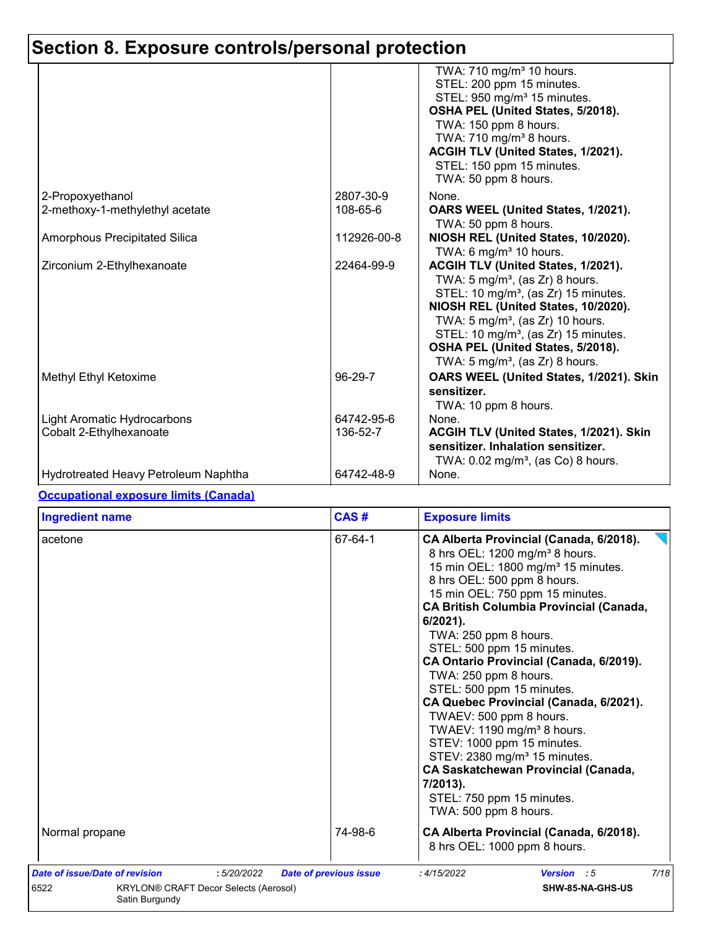|                                      |             | TWA: 710 mg/m <sup>3</sup> 10 hours.<br>STEL: 200 ppm 15 minutes.<br>STEL: 950 mg/m <sup>3</sup> 15 minutes.<br>OSHA PEL (United States, 5/2018).<br>TWA: 150 ppm 8 hours.<br>TWA: 710 mg/m <sup>3</sup> 8 hours.<br>ACGIH TLV (United States, 1/2021).<br>STEL: 150 ppm 15 minutes.<br>TWA: 50 ppm 8 hours.                                                      |
|--------------------------------------|-------------|-------------------------------------------------------------------------------------------------------------------------------------------------------------------------------------------------------------------------------------------------------------------------------------------------------------------------------------------------------------------|
| 2-Propoxyethanol                     | 2807-30-9   | None.                                                                                                                                                                                                                                                                                                                                                             |
| 2-methoxy-1-methylethyl acetate      | 108-65-6    | OARS WEEL (United States, 1/2021).<br>TWA: 50 ppm 8 hours.                                                                                                                                                                                                                                                                                                        |
| <b>Amorphous Precipitated Silica</b> | 112926-00-8 | NIOSH REL (United States, 10/2020).<br>TWA: 6 mg/m <sup>3</sup> 10 hours.                                                                                                                                                                                                                                                                                         |
| Zirconium 2-Ethylhexanoate           | 22464-99-9  | ACGIH TLV (United States, 1/2021).<br>TWA: $5 \text{ mg/m}^3$ , (as Zr) 8 hours.<br>STEL: 10 mg/m <sup>3</sup> , (as Zr) 15 minutes.<br>NIOSH REL (United States, 10/2020).<br>TWA: $5 \text{ mg/m}^3$ , (as Zr) 10 hours.<br>STEL: 10 mg/m <sup>3</sup> , (as Zr) 15 minutes.<br>OSHA PEL (United States, 5/2018).<br>TWA: $5 \text{ mg/m}^3$ , (as Zr) 8 hours. |
| Methyl Ethyl Ketoxime                | 96-29-7     | OARS WEEL (United States, 1/2021). Skin<br>sensitizer.<br>TWA: 10 ppm 8 hours.                                                                                                                                                                                                                                                                                    |
| <b>Light Aromatic Hydrocarbons</b>   | 64742-95-6  | None.                                                                                                                                                                                                                                                                                                                                                             |
| Cobalt 2-Ethylhexanoate              | 136-52-7    | ACGIH TLV (United States, 1/2021). Skin<br>sensitizer. Inhalation sensitizer.<br>TWA: $0.02$ mg/m <sup>3</sup> , (as Co) 8 hours.                                                                                                                                                                                                                                 |
| Hydrotreated Heavy Petroleum Naphtha | 64742-48-9  | None.                                                                                                                                                                                                                                                                                                                                                             |

#### **Occupational exposure limits (Canada)**

| <b>Ingredient name</b> | CAS#    | <b>Exposure limits</b>                                                                                                                                                                                                                                                                                                                                                                                                                                                                                                                                                                                                                                                                                                                     |
|------------------------|---------|--------------------------------------------------------------------------------------------------------------------------------------------------------------------------------------------------------------------------------------------------------------------------------------------------------------------------------------------------------------------------------------------------------------------------------------------------------------------------------------------------------------------------------------------------------------------------------------------------------------------------------------------------------------------------------------------------------------------------------------------|
| acetone                | 67-64-1 | CA Alberta Provincial (Canada, 6/2018).<br>8 hrs OEL: 1200 mg/m <sup>3</sup> 8 hours.<br>15 min OEL: 1800 mg/m <sup>3</sup> 15 minutes.<br>8 hrs OEL: 500 ppm 8 hours.<br>15 min OEL: 750 ppm 15 minutes.<br><b>CA British Columbia Provincial (Canada,</b><br>$6/2021$ ).<br>TWA: 250 ppm 8 hours.<br>STEL: 500 ppm 15 minutes.<br>CA Ontario Provincial (Canada, 6/2019).<br>TWA: 250 ppm 8 hours.<br>STEL: 500 ppm 15 minutes.<br>CA Quebec Provincial (Canada, 6/2021).<br>TWAEV: 500 ppm 8 hours.<br>TWAEV: 1190 mg/m <sup>3</sup> 8 hours.<br>STEV: 1000 ppm 15 minutes.<br>STEV: 2380 mg/m <sup>3</sup> 15 minutes.<br><b>CA Saskatchewan Provincial (Canada,</b><br>7/2013).<br>STEL: 750 ppm 15 minutes.<br>TWA: 500 ppm 8 hours. |
| Normal propane         | 74-98-6 | CA Alberta Provincial (Canada, 6/2018).<br>8 hrs OEL: 1000 ppm 8 hours.                                                                                                                                                                                                                                                                                                                                                                                                                                                                                                                                                                                                                                                                    |
|                        |         |                                                                                                                                                                                                                                                                                                                                                                                                                                                                                                                                                                                                                                                                                                                                            |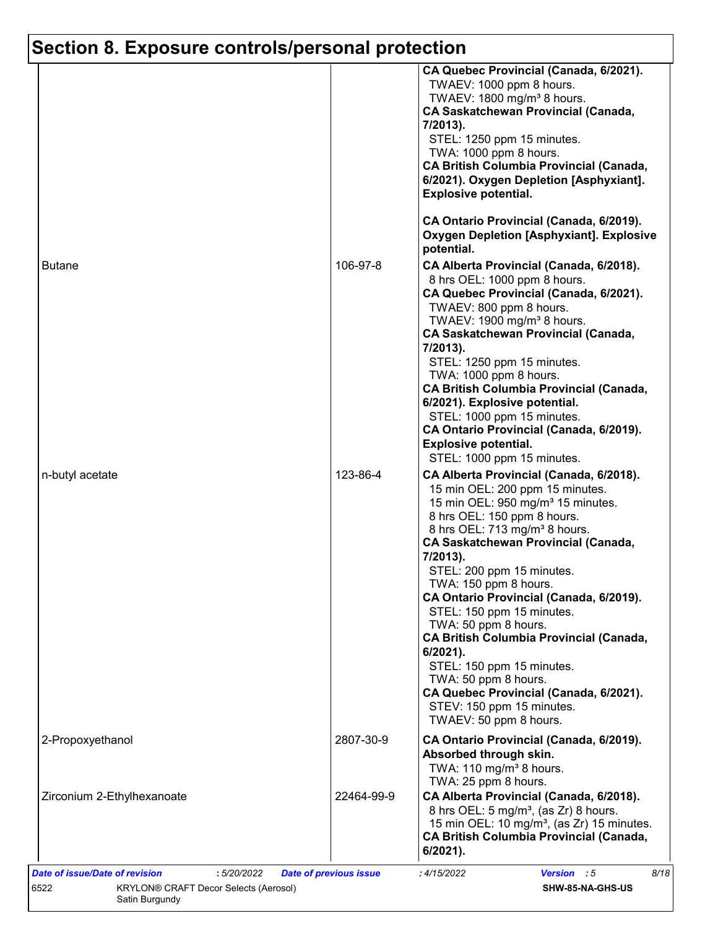|                            |            | CA Quebec Provincial (Canada, 6/2021).<br>TWAEV: 1000 ppm 8 hours.<br>TWAEV: 1800 mg/m <sup>3</sup> 8 hours.<br><b>CA Saskatchewan Provincial (Canada,</b><br>7/2013).<br>STEL: 1250 ppm 15 minutes.<br>TWA: 1000 ppm 8 hours.<br><b>CA British Columbia Provincial (Canada,</b><br>6/2021). Oxygen Depletion [Asphyxiant].<br><b>Explosive potential.</b>                                                                                                                                                                                                                                                                                  |
|----------------------------|------------|---------------------------------------------------------------------------------------------------------------------------------------------------------------------------------------------------------------------------------------------------------------------------------------------------------------------------------------------------------------------------------------------------------------------------------------------------------------------------------------------------------------------------------------------------------------------------------------------------------------------------------------------|
|                            |            | CA Ontario Provincial (Canada, 6/2019).<br><b>Oxygen Depletion [Asphyxiant]. Explosive</b><br>potential.                                                                                                                                                                                                                                                                                                                                                                                                                                                                                                                                    |
| <b>Butane</b>              | 106-97-8   | CA Alberta Provincial (Canada, 6/2018).<br>8 hrs OEL: 1000 ppm 8 hours.<br>CA Quebec Provincial (Canada, 6/2021).<br>TWAEV: 800 ppm 8 hours.<br>TWAEV: 1900 mg/m <sup>3</sup> 8 hours.<br><b>CA Saskatchewan Provincial (Canada,</b><br>7/2013).<br>STEL: 1250 ppm 15 minutes.<br>TWA: 1000 ppm 8 hours.<br><b>CA British Columbia Provincial (Canada,</b><br>6/2021). Explosive potential.<br>STEL: 1000 ppm 15 minutes.<br>CA Ontario Provincial (Canada, 6/2019).<br><b>Explosive potential.</b><br>STEL: 1000 ppm 15 minutes.                                                                                                           |
| n-butyl acetate            | 123-86-4   | CA Alberta Provincial (Canada, 6/2018).<br>15 min OEL: 200 ppm 15 minutes.<br>15 min OEL: 950 mg/m <sup>3</sup> 15 minutes.<br>8 hrs OEL: 150 ppm 8 hours.<br>8 hrs OEL: 713 mg/m <sup>3</sup> 8 hours.<br><b>CA Saskatchewan Provincial (Canada,</b><br>7/2013).<br>STEL: 200 ppm 15 minutes.<br>TWA: 150 ppm 8 hours.<br>CA Ontario Provincial (Canada, 6/2019).<br>STEL: 150 ppm 15 minutes.<br>TWA: 50 ppm 8 hours.<br><b>CA British Columbia Provincial (Canada,</b><br>6/2021).<br>STEL: 150 ppm 15 minutes.<br>TWA: 50 ppm 8 hours.<br>CA Quebec Provincial (Canada, 6/2021).<br>STEV: 150 ppm 15 minutes.<br>TWAEV: 50 ppm 8 hours. |
| 2-Propoxyethanol           | 2807-30-9  | CA Ontario Provincial (Canada, 6/2019).<br>Absorbed through skin.<br>TWA: 110 mg/m <sup>3</sup> 8 hours.                                                                                                                                                                                                                                                                                                                                                                                                                                                                                                                                    |
| Zirconium 2-Ethylhexanoate | 22464-99-9 | TWA: 25 ppm 8 hours.<br>CA Alberta Provincial (Canada, 6/2018).<br>8 hrs OEL: 5 mg/m <sup>3</sup> , (as Zr) 8 hours.<br>15 min OEL: 10 mg/m <sup>3</sup> , (as Zr) 15 minutes.<br><b>CA British Columbia Provincial (Canada,</b><br>6/2021).                                                                                                                                                                                                                                                                                                                                                                                                |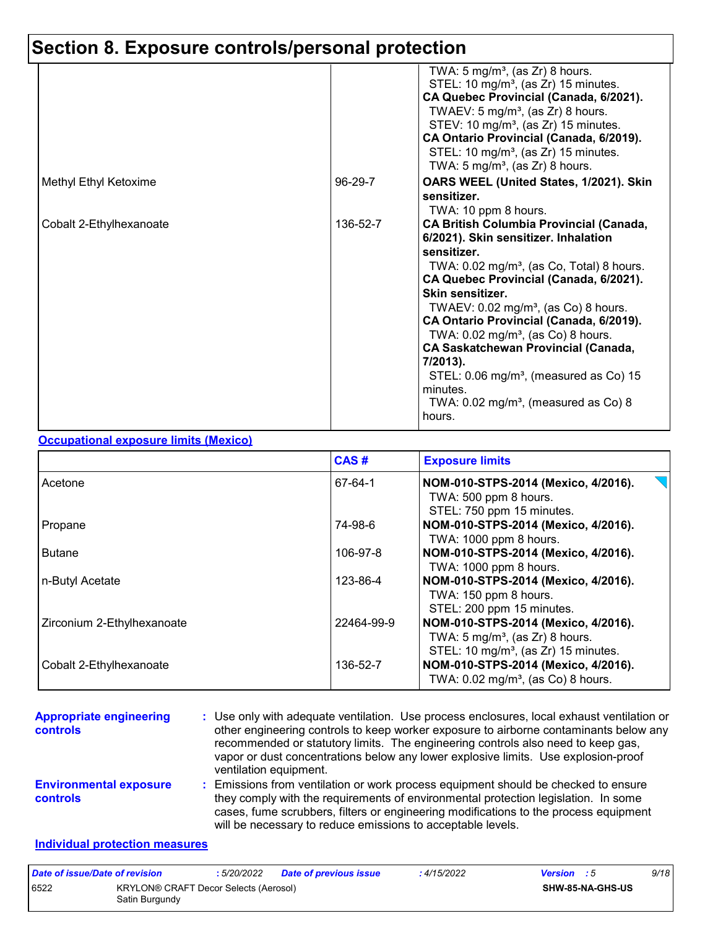|                         |          | TWA: $5 \text{ mg/m}^3$ , (as Zr) 8 hours.<br>STEL: 10 mg/m <sup>3</sup> , (as Zr) 15 minutes.<br>CA Quebec Provincial (Canada, 6/2021).<br>TWAEV: $5 \text{ mg/m}^3$ , (as Zr) 8 hours.<br>STEV: 10 mg/m <sup>3</sup> , (as Zr) 15 minutes.<br>CA Ontario Provincial (Canada, 6/2019).<br>STEL: 10 mg/m <sup>3</sup> , (as Zr) 15 minutes.<br>TWA: $5 \text{ mg/m}^3$ , (as Zr) 8 hours.                                                                                                                                                                              |
|-------------------------|----------|------------------------------------------------------------------------------------------------------------------------------------------------------------------------------------------------------------------------------------------------------------------------------------------------------------------------------------------------------------------------------------------------------------------------------------------------------------------------------------------------------------------------------------------------------------------------|
| Methyl Ethyl Ketoxime   | 96-29-7  | OARS WEEL (United States, 1/2021). Skin<br>sensitizer.<br>TWA: 10 ppm 8 hours.                                                                                                                                                                                                                                                                                                                                                                                                                                                                                         |
| Cobalt 2-Ethylhexanoate | 136-52-7 | <b>CA British Columbia Provincial (Canada,</b><br>6/2021). Skin sensitizer. Inhalation<br>sensitizer.<br>TWA: $0.02 \text{ mg/m}^3$ , (as Co, Total) 8 hours.<br>CA Quebec Provincial (Canada, 6/2021).<br>Skin sensitizer.<br>TWAEV: $0.02$ mg/m <sup>3</sup> , (as Co) 8 hours.<br>CA Ontario Provincial (Canada, 6/2019).<br>TWA: 0.02 mg/m <sup>3</sup> , (as Co) 8 hours.<br><b>CA Saskatchewan Provincial (Canada,</b><br>7/2013).<br>STEL: $0.06 \text{ mg/m}^3$ , (measured as Co) 15<br>minutes.<br>TWA: $0.02 \text{ mg/m}^3$ , (measured as Co) 8<br>hours. |

#### **Occupational exposure limits (Mexico)**

|                            | CAS#       | <b>Exposure limits</b>                                                                                                                |
|----------------------------|------------|---------------------------------------------------------------------------------------------------------------------------------------|
| Acetone                    | 67-64-1    | NOM-010-STPS-2014 (Mexico, 4/2016).<br>TWA: 500 ppm 8 hours.<br>STEL: 750 ppm 15 minutes.                                             |
| Propane                    | 74-98-6    | NOM-010-STPS-2014 (Mexico, 4/2016).<br>TWA: 1000 ppm 8 hours.                                                                         |
| <b>Butane</b>              | 106-97-8   | NOM-010-STPS-2014 (Mexico, 4/2016).<br>TWA: 1000 ppm 8 hours.                                                                         |
| n-Butyl Acetate            | 123-86-4   | NOM-010-STPS-2014 (Mexico, 4/2016).<br>TWA: 150 ppm 8 hours.<br>STEL: 200 ppm 15 minutes.                                             |
| Zirconium 2-Ethylhexanoate | 22464-99-9 | NOM-010-STPS-2014 (Mexico, 4/2016).<br>TWA: $5 \text{ mg/m}^3$ , (as Zr) 8 hours.<br>STEL: 10 mg/m <sup>3</sup> , (as Zr) 15 minutes. |
| Cobalt 2-Ethylhexanoate    | 136-52-7   | NOM-010-STPS-2014 (Mexico, 4/2016).<br>TWA: $0.02$ mg/m <sup>3</sup> , (as Co) 8 hours.                                               |

| <b>Appropriate engineering</b><br>controls | : Use only with adequate ventilation. Use process enclosures, local exhaust ventilation or<br>other engineering controls to keep worker exposure to airborne contaminants below any<br>recommended or statutory limits. The engineering controls also need to keep gas,<br>vapor or dust concentrations below any lower explosive limits. Use explosion-proof<br>ventilation equipment. |
|--------------------------------------------|-----------------------------------------------------------------------------------------------------------------------------------------------------------------------------------------------------------------------------------------------------------------------------------------------------------------------------------------------------------------------------------------|
| <b>Environmental exposure</b><br>controls  | : Emissions from ventilation or work process equipment should be checked to ensure<br>they comply with the requirements of environmental protection legislation. In some<br>cases, fume scrubbers, filters or engineering modifications to the process equipment<br>will be necessary to reduce emissions to acceptable levels.                                                         |
| Individual nucleation measures             |                                                                                                                                                                                                                                                                                                                                                                                         |

#### **Individual protection measures**

| Date of issue/Date of revision |                                                         | : 5/20/2022 | Date of previous issue | : 4/15/2022 | <b>Version</b> : 5 |                  | 9/18 |
|--------------------------------|---------------------------------------------------------|-------------|------------------------|-------------|--------------------|------------------|------|
| 6522                           | KRYLON® CRAFT Decor Selects (Aerosol)<br>Satin Burgundy |             |                        |             |                    | SHW-85-NA-GHS-US |      |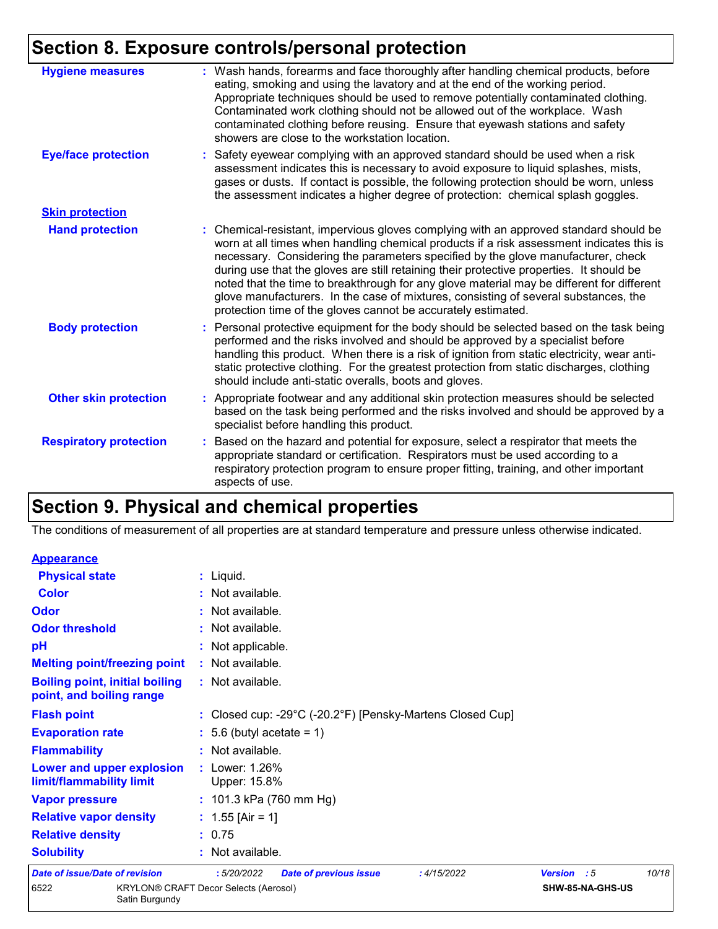| <b>Hygiene measures</b>       | : Wash hands, forearms and face thoroughly after handling chemical products, before<br>eating, smoking and using the lavatory and at the end of the working period.<br>Appropriate techniques should be used to remove potentially contaminated clothing.<br>Contaminated work clothing should not be allowed out of the workplace. Wash<br>contaminated clothing before reusing. Ensure that eyewash stations and safety<br>showers are close to the workstation location.                                                                                                                                            |  |
|-------------------------------|------------------------------------------------------------------------------------------------------------------------------------------------------------------------------------------------------------------------------------------------------------------------------------------------------------------------------------------------------------------------------------------------------------------------------------------------------------------------------------------------------------------------------------------------------------------------------------------------------------------------|--|
| <b>Eye/face protection</b>    | : Safety eyewear complying with an approved standard should be used when a risk<br>assessment indicates this is necessary to avoid exposure to liquid splashes, mists,<br>gases or dusts. If contact is possible, the following protection should be worn, unless<br>the assessment indicates a higher degree of protection: chemical splash goggles.                                                                                                                                                                                                                                                                  |  |
| <b>Skin protection</b>        |                                                                                                                                                                                                                                                                                                                                                                                                                                                                                                                                                                                                                        |  |
| <b>Hand protection</b>        | : Chemical-resistant, impervious gloves complying with an approved standard should be<br>worn at all times when handling chemical products if a risk assessment indicates this is<br>necessary. Considering the parameters specified by the glove manufacturer, check<br>during use that the gloves are still retaining their protective properties. It should be<br>noted that the time to breakthrough for any glove material may be different for different<br>glove manufacturers. In the case of mixtures, consisting of several substances, the<br>protection time of the gloves cannot be accurately estimated. |  |
| <b>Body protection</b>        | : Personal protective equipment for the body should be selected based on the task being<br>performed and the risks involved and should be approved by a specialist before<br>handling this product. When there is a risk of ignition from static electricity, wear anti-<br>static protective clothing. For the greatest protection from static discharges, clothing<br>should include anti-static overalls, boots and gloves.                                                                                                                                                                                         |  |
| <b>Other skin protection</b>  | : Appropriate footwear and any additional skin protection measures should be selected<br>based on the task being performed and the risks involved and should be approved by a<br>specialist before handling this product.                                                                                                                                                                                                                                                                                                                                                                                              |  |
| <b>Respiratory protection</b> | : Based on the hazard and potential for exposure, select a respirator that meets the<br>appropriate standard or certification. Respirators must be used according to a<br>respiratory protection program to ensure proper fitting, training, and other important<br>aspects of use.                                                                                                                                                                                                                                                                                                                                    |  |

## **Section 9. Physical and chemical properties**

The conditions of measurement of all properties are at standard temperature and pressure unless otherwise indicated.

| <b>Appearance</b>                                                 |                |                                                                           |       |
|-------------------------------------------------------------------|----------------|---------------------------------------------------------------------------|-------|
| <b>Physical state</b>                                             |                | $:$ Liquid.                                                               |       |
| <b>Color</b>                                                      |                | : Not available.                                                          |       |
| Odor                                                              |                | : Not available.                                                          |       |
| <b>Odor threshold</b>                                             |                | : Not available.                                                          |       |
| pH                                                                |                | : Not applicable.                                                         |       |
| <b>Melting point/freezing point</b>                               |                | : Not available.                                                          |       |
| <b>Boiling point, initial boiling</b><br>point, and boiling range |                | : Not available.                                                          |       |
| <b>Flash point</b>                                                |                | : Closed cup: -29°C (-20.2°F) [Pensky-Martens Closed Cup]                 |       |
| <b>Evaporation rate</b>                                           |                | $: 5.6$ (butyl acetate = 1)                                               |       |
| <b>Flammability</b>                                               |                | : Not available.                                                          |       |
| Lower and upper explosion<br>limit/flammability limit             |                | : Lower: 1.26%<br>Upper: 15.8%                                            |       |
| <b>Vapor pressure</b>                                             |                | : $101.3$ kPa (760 mm Hg)                                                 |       |
| <b>Relative vapor density</b>                                     |                | : $1.55$ [Air = 1]                                                        |       |
| <b>Relative density</b>                                           |                | : 0.75                                                                    |       |
| <b>Solubility</b>                                                 |                | : Not available.                                                          |       |
| Date of issue/Date of revision                                    |                | :5/20/2022<br><b>Date of previous issue</b><br>: 4/15/2022<br>Version : 5 | 10/18 |
| 6522                                                              | Satin Burgundy | KRYLON® CRAFT Decor Selects (Aerosol)<br>SHW-85-NA-GHS-US                 |       |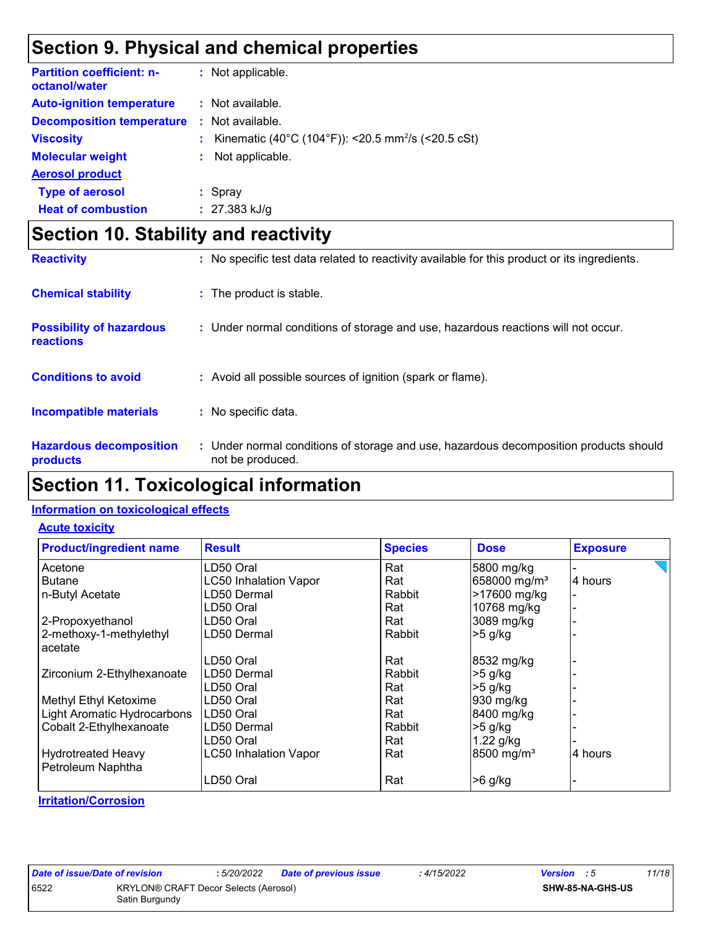## **Section 9. Physical and chemical properties**

| <b>Partition coefficient: n-</b><br>octanol/water |    | : Not applicable.                                              |
|---------------------------------------------------|----|----------------------------------------------------------------|
| <b>Auto-ignition temperature</b>                  |    | : Not available.                                               |
| <b>Decomposition temperature</b>                  |    | $\therefore$ Not available.                                    |
| <b>Viscosity</b>                                  | t. | Kinematic (40°C (104°F)): <20.5 mm <sup>2</sup> /s (<20.5 cSt) |
| <b>Molecular weight</b>                           |    | Not applicable.                                                |
| <b>Aerosol product</b>                            |    |                                                                |
| <b>Type of aerosol</b>                            |    | : Spray                                                        |
| <b>Heat of combustion</b>                         |    | $: 27.383$ kJ/g                                                |

## **Section 10. Stability and reactivity**

| <b>Reactivity</b>                            | : No specific test data related to reactivity available for this product or its ingredients.              |
|----------------------------------------------|-----------------------------------------------------------------------------------------------------------|
| <b>Chemical stability</b>                    | : The product is stable.                                                                                  |
| <b>Possibility of hazardous</b><br>reactions | : Under normal conditions of storage and use, hazardous reactions will not occur.                         |
| <b>Conditions to avoid</b>                   | : Avoid all possible sources of ignition (spark or flame).                                                |
| <b>Incompatible materials</b>                | : No specific data.                                                                                       |
| <b>Hazardous decomposition</b><br>products   | : Under normal conditions of storage and use, hazardous decomposition products should<br>not be produced. |

## **Section 11. Toxicological information**

#### **Information on toxicological effects**

#### **Acute toxicity**

| <b>Product/ingredient name</b> | <b>Result</b>                | <b>Species</b> | <b>Dose</b>              | <b>Exposure</b> |
|--------------------------------|------------------------------|----------------|--------------------------|-----------------|
| Acetone                        | LD50 Oral                    | Rat            | 5800 mg/kg               |                 |
| <b>Butane</b>                  | <b>LC50 Inhalation Vapor</b> | Rat            | 658000 mg/m <sup>3</sup> | 4 hours         |
| n-Butyl Acetate                | LD50 Dermal                  | Rabbit         | >17600 mg/kg             |                 |
|                                | LD50 Oral                    | Rat            | 10768 mg/kg              |                 |
| 2-Propoxyethanol               | LD50 Oral                    | Rat            | 3089 mg/kg               |                 |
| 2-methoxy-1-methylethyl        | LD50 Dermal                  | Rabbit         | $>5$ g/kg                |                 |
| acetate                        |                              |                |                          |                 |
|                                | LD50 Oral                    | Rat            | 8532 mg/kg               |                 |
| Zirconium 2-Ethylhexanoate     | LD50 Dermal                  | Rabbit         | $>5$ g/kg                |                 |
|                                | LD50 Oral                    | Rat            | $>5$ g/kg                |                 |
| Methyl Ethyl Ketoxime          | LD50 Oral                    | Rat            | 930 mg/kg                |                 |
| Light Aromatic Hydrocarbons    | LD50 Oral                    | Rat            | 8400 mg/kg               |                 |
| Cobalt 2-Ethylhexanoate        | LD50 Dermal                  | Rabbit         | $>5$ g/kg                |                 |
|                                | LD50 Oral                    | Rat            | $1.22$ g/kg              |                 |
| <b>Hydrotreated Heavy</b>      | <b>LC50 Inhalation Vapor</b> | Rat            | 8500 mg/m <sup>3</sup>   | 4 hours         |
| Petroleum Naphtha              |                              |                |                          |                 |
|                                | LD50 Oral                    | Rat            | $>6$ g/kg                |                 |

#### **Irritation/Corrosion**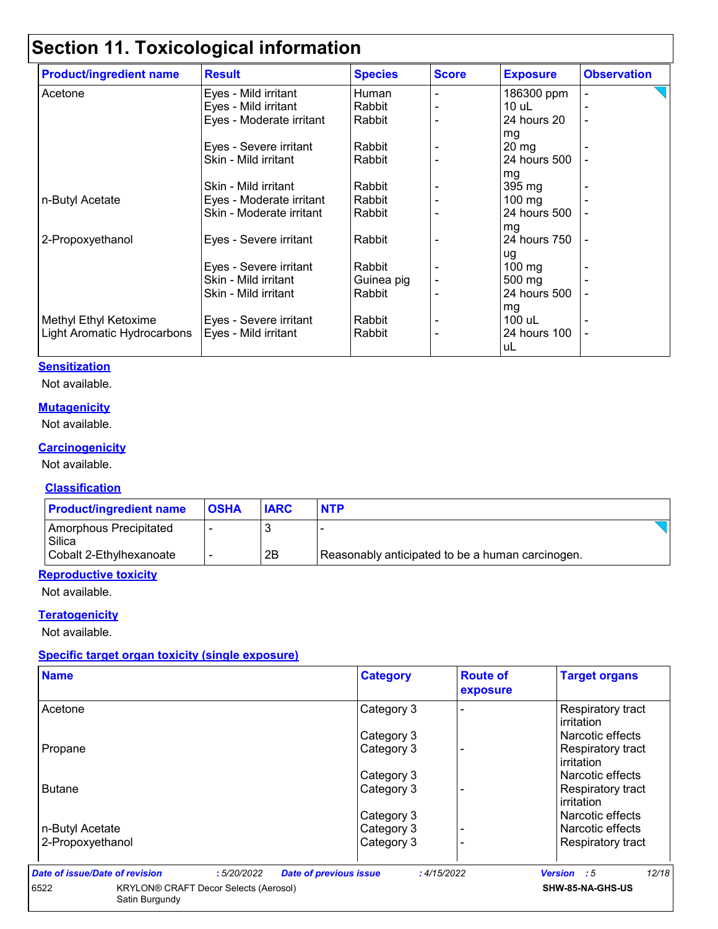## **Section 11. Toxicological information**

| <b>Product/ingredient name</b> | <b>Result</b>            | <b>Species</b> | <b>Score</b> | <b>Exposure</b>  | <b>Observation</b> |
|--------------------------------|--------------------------|----------------|--------------|------------------|--------------------|
| Acetone                        | Eyes - Mild irritant     | Human          |              | 186300 ppm       |                    |
|                                | Eyes - Mild irritant     | Rabbit         |              | 10 uL            |                    |
|                                | Eyes - Moderate irritant | Rabbit         |              | 24 hours 20      |                    |
|                                |                          |                |              | mg               |                    |
|                                | Eyes - Severe irritant   | Rabbit         |              | $20 \, mg$       |                    |
|                                | Skin - Mild irritant     | Rabbit         |              | 24 hours 500     |                    |
|                                |                          |                |              | mg               |                    |
|                                | Skin - Mild irritant     | Rabbit         |              | 395 mg           |                    |
| n-Butyl Acetate                | Eyes - Moderate irritant | Rabbit         |              | $100$ mg         |                    |
|                                | Skin - Moderate irritant | Rabbit         |              | 24 hours 500     |                    |
|                                |                          |                |              | mg               |                    |
| 2-Propoxyethanol               | Eyes - Severe irritant   | Rabbit         |              | 24 hours 750     |                    |
|                                |                          |                |              | ug               |                    |
|                                | Eyes - Severe irritant   | Rabbit         |              | $100 \text{ mg}$ |                    |
|                                | Skin - Mild irritant     | Guinea pig     |              | 500 mg           |                    |
|                                | Skin - Mild irritant     | Rabbit         |              | 24 hours 500     |                    |
|                                |                          |                |              | mg               |                    |
| Methyl Ethyl Ketoxime          | Eyes - Severe irritant   | Rabbit         |              | 100 uL           |                    |
| Light Aromatic Hydrocarbons    | Eyes - Mild irritant     | Rabbit         |              | 24 hours 100     |                    |
|                                |                          |                |              | uL               |                    |

#### **Sensitization**

Not available.

#### **Mutagenicity**

Not available.

#### **Carcinogenicity**

Not available.

#### **Classification**

| <b>Product/ingredient name</b>   | <b>OSHA</b> | <b>IARC</b> | <b>NTP</b>                                       |
|----------------------------------|-------------|-------------|--------------------------------------------------|
| Amorphous Precipitated<br>Silica |             |             |                                                  |
| Cobalt 2-Ethylhexanoate          |             | 2B          | Reasonably anticipated to be a human carcinogen. |

#### **Reproductive toxicity**

Not available.

#### **Teratogenicity**

Not available.

#### **Specific target organ toxicity (single exposure)**

Satin Burgundy

| <b>Name</b>      | <b>Category</b> | <b>Route of</b><br>exposure | <b>Target organs</b>                   |
|------------------|-----------------|-----------------------------|----------------------------------------|
| Acetone          | Category 3      |                             | Respiratory tract<br>irritation        |
|                  | Category 3      |                             | Narcotic effects                       |
| Propane          | Category 3      |                             | Respiratory tract<br>irritation        |
|                  | Category 3      |                             | l Narcotic effects                     |
| <b>Butane</b>    | Category 3      |                             | Respiratory tract<br><b>irritation</b> |
|                  | Category 3      |                             | Narcotic effects                       |
| n-Butyl Acetate  | Category 3      |                             | Narcotic effects                       |
| 2-Propoxyethanol | Category 3      |                             | <b>Respiratory tract</b>               |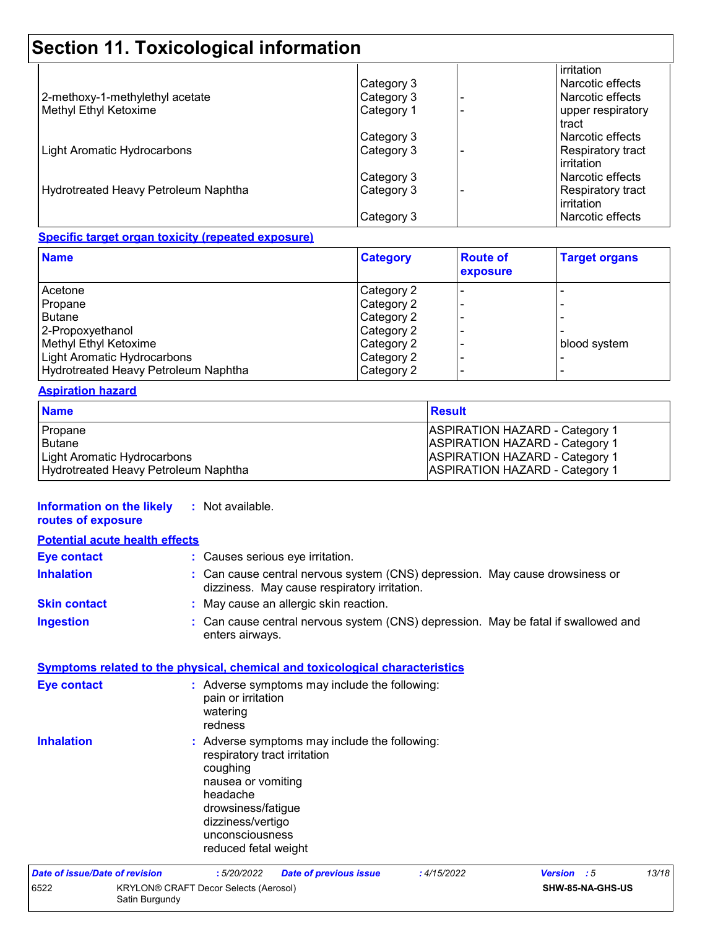## **Section 11. Toxicological information**

|            | irritation        |
|------------|-------------------|
| Category 3 | Narcotic effects  |
| Category 3 | Narcotic effects  |
| Category 1 | upper respiratory |
|            | tract             |
| Category 3 | Narcotic effects  |
| Category 3 | Respiratory tract |
|            | <b>irritation</b> |
| Category 3 | Narcotic effects  |
| Category 3 | Respiratory tract |
|            | <b>irritation</b> |
| Category 3 | Narcotic effects  |
|            |                   |

#### **Specific target organ toxicity (repeated exposure)**

| <b>Name</b>                                 | <b>Category</b> | <b>Route of</b><br>exposure | <b>Target organs</b> |
|---------------------------------------------|-----------------|-----------------------------|----------------------|
| Acetone                                     | Category 2      |                             |                      |
| Propane                                     | Category 2      |                             |                      |
| <b>Butane</b>                               | Category 2      |                             |                      |
| 2-Propoxyethanol                            | Category 2      |                             |                      |
| Methyl Ethyl Ketoxime                       | Category 2      |                             | blood system         |
| Light Aromatic Hydrocarbons                 | Category 2      |                             |                      |
| <b>Hydrotreated Heavy Petroleum Naphtha</b> | Category 2      |                             |                      |

#### **Aspiration hazard**

| <b>Name</b>                          | <b>Result</b>                         |
|--------------------------------------|---------------------------------------|
| Propane                              | <b>ASPIRATION HAZARD - Category 1</b> |
| l Butane                             | <b>ASPIRATION HAZARD - Category 1</b> |
| Light Aromatic Hydrocarbons          | <b>ASPIRATION HAZARD - Category 1</b> |
| Hydrotreated Heavy Petroleum Naphtha | <b>ASPIRATION HAZARD - Category 1</b> |

#### **Information on the likely :** Not available. **routes of exposure**

|                                | <b>Potential acute health effects</b> |                                                                                                                                                                                                                   |       |
|--------------------------------|---------------------------------------|-------------------------------------------------------------------------------------------------------------------------------------------------------------------------------------------------------------------|-------|
| <b>Eye contact</b>             |                                       | : Causes serious eye irritation.                                                                                                                                                                                  |       |
| <b>Inhalation</b>              |                                       | : Can cause central nervous system (CNS) depression. May cause drowsiness or<br>dizziness. May cause respiratory irritation.                                                                                      |       |
| <b>Skin contact</b>            |                                       | : May cause an allergic skin reaction.                                                                                                                                                                            |       |
| <b>Ingestion</b>               |                                       | : Can cause central nervous system (CNS) depression. May be fatal if swallowed and<br>enters airways.                                                                                                             |       |
|                                |                                       | <b>Symptoms related to the physical, chemical and toxicological characteristics</b>                                                                                                                               |       |
| <b>Eye contact</b>             |                                       | : Adverse symptoms may include the following:<br>pain or irritation<br>watering<br>redness                                                                                                                        |       |
| <b>Inhalation</b>              |                                       | : Adverse symptoms may include the following:<br>respiratory tract irritation<br>coughing<br>nausea or vomiting<br>headache<br>drowsiness/fatigue<br>dizziness/vertigo<br>unconsciousness<br>reduced fetal weight |       |
| Date of issue/Date of revision |                                       | :5/20/2022<br><b>Date of previous issue</b><br>:4/15/2022<br>Version : 5                                                                                                                                          | 13/18 |
| 6522                           | Satin Burgundy                        | KRYLON® CRAFT Decor Selects (Aerosol)<br>SHW-85-NA-GHS-US                                                                                                                                                         |       |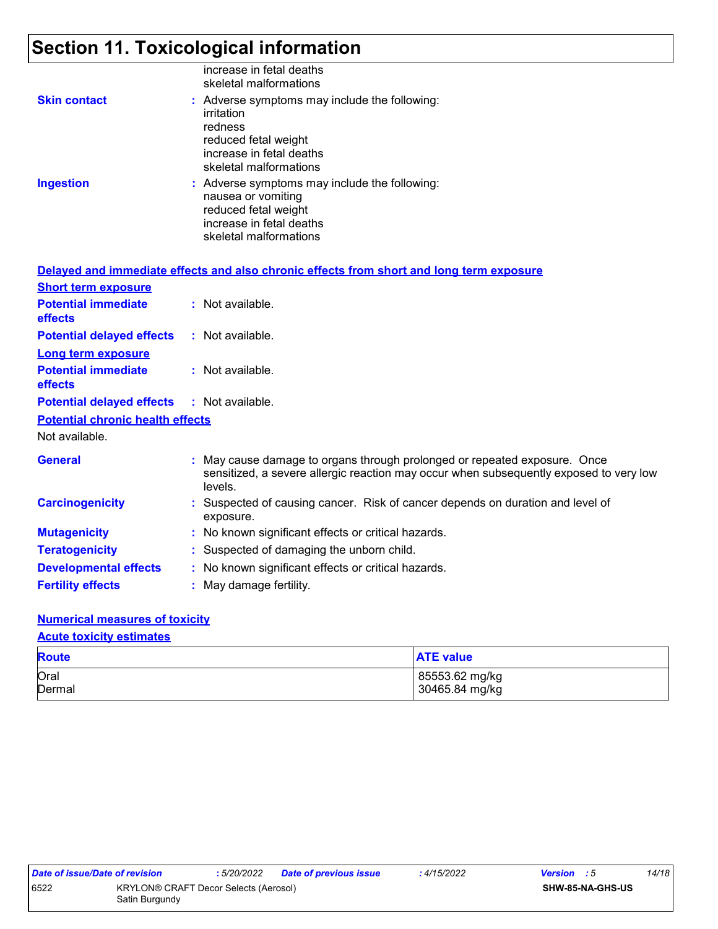## **Section 11. Toxicological information**

|                                         | increase in fetal deaths<br>skeletal malformations                                                                                                                             |
|-----------------------------------------|--------------------------------------------------------------------------------------------------------------------------------------------------------------------------------|
| <b>Skin contact</b>                     | : Adverse symptoms may include the following:<br>irritation<br>redness<br>reduced fetal weight<br>increase in fetal deaths<br>skeletal malformations                           |
| <b>Ingestion</b>                        | : Adverse symptoms may include the following:<br>nausea or vomiting<br>reduced fetal weight<br>increase in fetal deaths<br>skeletal malformations                              |
|                                         | Delayed and immediate effects and also chronic effects from short and long term exposure                                                                                       |
| <b>Short term exposure</b>              |                                                                                                                                                                                |
| <b>Potential immediate</b><br>effects   | : Not available.                                                                                                                                                               |
| <b>Potential delayed effects</b>        | : Not available.                                                                                                                                                               |
| <b>Long term exposure</b>               |                                                                                                                                                                                |
| <b>Potential immediate</b><br>effects   | : Not available.                                                                                                                                                               |
| <b>Potential delayed effects</b>        | : Not available.                                                                                                                                                               |
| <b>Potential chronic health effects</b> |                                                                                                                                                                                |
| Not available.                          |                                                                                                                                                                                |
| <b>General</b>                          | : May cause damage to organs through prolonged or repeated exposure. Once<br>sensitized, a severe allergic reaction may occur when subsequently exposed to very low<br>levels. |
| <b>Carcinogenicity</b>                  | : Suspected of causing cancer. Risk of cancer depends on duration and level of<br>exposure.                                                                                    |
| <b>Mutagenicity</b>                     | : No known significant effects or critical hazards.                                                                                                                            |
| <b>Teratogenicity</b>                   | : Suspected of damaging the unborn child.                                                                                                                                      |
| <b>Developmental effects</b>            | : No known significant effects or critical hazards.                                                                                                                            |
| <b>Fertility effects</b>                | : May damage fertility.                                                                                                                                                        |

#### **Numerical measures of toxicity**

**Acute toxicity estimates**

| <b>Route</b> | <b>ATE value</b> |
|--------------|------------------|
| Oral         | 85553.62 mg/kg   |
| Dermal       | 30465.84 mg/kg   |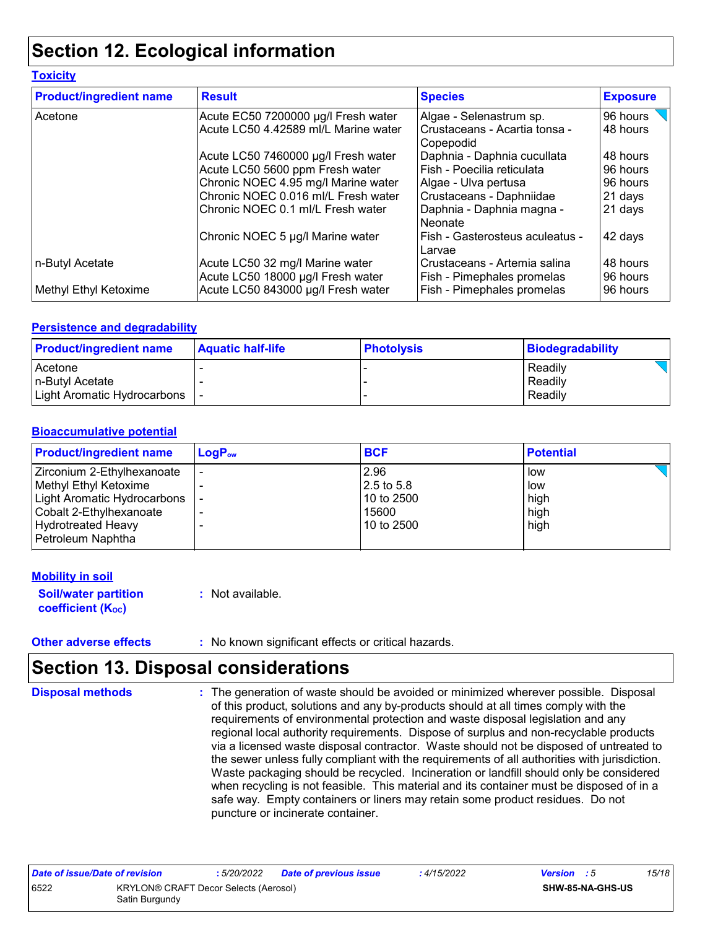## **Section 12. Ecological information**

#### **Toxicity**

| <b>Product/ingredient name</b> | <b>Result</b>                                                        | <b>Species</b>                                             | <b>Exposure</b>      |
|--------------------------------|----------------------------------------------------------------------|------------------------------------------------------------|----------------------|
| Acetone                        | Acute EC50 7200000 µg/l Fresh water                                  | Algae - Selenastrum sp.                                    | 96 hours             |
|                                | Acute LC50 4.42589 ml/L Marine water                                 | Crustaceans - Acartia tonsa -<br>Copepodid                 | 48 hours             |
|                                | Acute LC50 7460000 µg/l Fresh water                                  | Daphnia - Daphnia cucullata                                | 48 hours             |
|                                | Acute LC50 5600 ppm Fresh water                                      | Fish - Poecilia reticulata                                 | 96 hours             |
|                                | Chronic NOEC 4.95 mg/l Marine water                                  | Algae - Ulva pertusa                                       | 96 hours             |
|                                | Chronic NOEC 0.016 ml/L Fresh water                                  | Crustaceans - Daphniidae                                   | 21 days              |
|                                | Chronic NOEC 0.1 ml/L Fresh water                                    | Daphnia - Daphnia magna -<br>Neonate                       | 21 days              |
|                                | Chronic NOEC 5 µg/l Marine water                                     | Fish - Gasterosteus aculeatus -<br>Larvae                  | 42 days              |
| n-Butyl Acetate                | Acute LC50 32 mg/l Marine water<br>Acute LC50 18000 µg/l Fresh water | Crustaceans - Artemia salina<br>Fish - Pimephales promelas | 48 hours<br>96 hours |
| Methyl Ethyl Ketoxime          | Acute LC50 843000 µg/l Fresh water                                   | Fish - Pimephales promelas                                 | 96 hours             |

#### **Persistence and degradability**

| <b>Product/ingredient name</b> | <b>Aquatic half-life</b> | <b>Photolysis</b> | Biodegradability |
|--------------------------------|--------------------------|-------------------|------------------|
| Acetone                        |                          |                   | Readily          |
| In-Butvl Acetate               |                          |                   | Readily          |
| Light Aromatic Hydrocarbons    |                          |                   | Readily          |

#### **Bioaccumulative potential**

| <b>Product/ingredient name</b>                                                                                                                                  | $\mathsf{LogP}_\mathsf{ow}$ | <b>BCF</b>                                                      | <b>Potential</b>                   |
|-----------------------------------------------------------------------------------------------------------------------------------------------------------------|-----------------------------|-----------------------------------------------------------------|------------------------------------|
| Zirconium 2-Ethylhexanoate<br>Methyl Ethyl Ketoxime<br>Light Aromatic Hydrocarbons<br>Cobalt 2-Ethylhexanoate<br><b>Hydrotreated Heavy</b><br>Petroleum Naphtha |                             | 2.96<br>$2.5$ to 5.8<br>l 10 to 2500 l<br>15600<br>l 10 to 2500 | low<br>low<br>high<br>high<br>high |

#### **Mobility in soil**

**Soil/water partition coefficient (K**<sub>oc</sub>)

**:** Not available.

**Other adverse effects** : No known significant effects or critical hazards.

## **Section 13. Disposal considerations**

**Disposal methods :**

The generation of waste should be avoided or minimized wherever possible. Disposal of this product, solutions and any by-products should at all times comply with the requirements of environmental protection and waste disposal legislation and any regional local authority requirements. Dispose of surplus and non-recyclable products via a licensed waste disposal contractor. Waste should not be disposed of untreated to the sewer unless fully compliant with the requirements of all authorities with jurisdiction. Waste packaging should be recycled. Incineration or landfill should only be considered when recycling is not feasible. This material and its container must be disposed of in a safe way. Empty containers or liners may retain some product residues. Do not puncture or incinerate container.

| Date of issue/Date of revision |                                                         | : 5/20/2022 | <b>Date of previous issue</b> | : 4/15/2022 | <b>Version</b> : 5 |                         | 15/18 |
|--------------------------------|---------------------------------------------------------|-------------|-------------------------------|-------------|--------------------|-------------------------|-------|
| 6522                           | KRYLON® CRAFT Decor Selects (Aerosol)<br>Satin Burgundy |             |                               |             |                    | <b>SHW-85-NA-GHS-US</b> |       |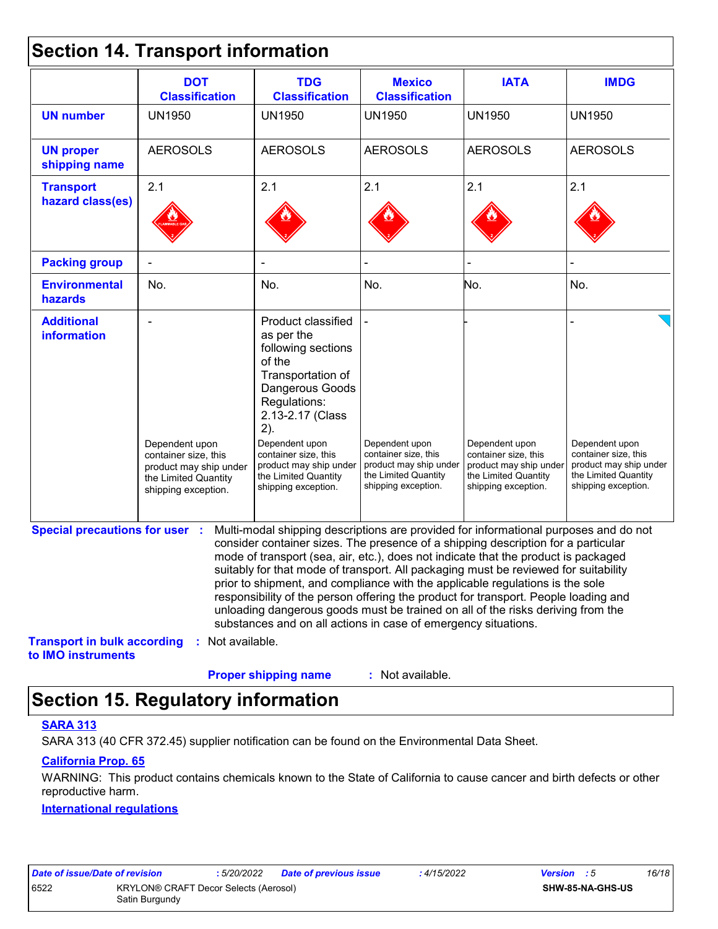### **Section 14. Transport information**

|                                                          | <b>DOT</b><br><b>Classification</b>                                                                             | <b>TDG</b><br><b>Classification</b>                                                                                                                                                                                                                                                                                                                                                                                                                                                                                                                                                                                                                                                 | <b>Mexico</b><br><b>Classification</b>                                                                          | <b>IATA</b>                                                                                                     | <b>IMDG</b>                                                                                                     |
|----------------------------------------------------------|-----------------------------------------------------------------------------------------------------------------|-------------------------------------------------------------------------------------------------------------------------------------------------------------------------------------------------------------------------------------------------------------------------------------------------------------------------------------------------------------------------------------------------------------------------------------------------------------------------------------------------------------------------------------------------------------------------------------------------------------------------------------------------------------------------------------|-----------------------------------------------------------------------------------------------------------------|-----------------------------------------------------------------------------------------------------------------|-----------------------------------------------------------------------------------------------------------------|
| <b>UN number</b>                                         | <b>UN1950</b>                                                                                                   | <b>UN1950</b>                                                                                                                                                                                                                                                                                                                                                                                                                                                                                                                                                                                                                                                                       | <b>UN1950</b>                                                                                                   | <b>UN1950</b>                                                                                                   | <b>UN1950</b>                                                                                                   |
| <b>UN proper</b><br>shipping name                        | <b>AEROSOLS</b>                                                                                                 | <b>AEROSOLS</b>                                                                                                                                                                                                                                                                                                                                                                                                                                                                                                                                                                                                                                                                     | <b>AEROSOLS</b>                                                                                                 | <b>AEROSOLS</b>                                                                                                 | <b>AEROSOLS</b>                                                                                                 |
| <b>Transport</b>                                         | 2.1                                                                                                             | 2.1                                                                                                                                                                                                                                                                                                                                                                                                                                                                                                                                                                                                                                                                                 | 2.1                                                                                                             | 2.1                                                                                                             | 2.1                                                                                                             |
| hazard class(es)                                         |                                                                                                                 |                                                                                                                                                                                                                                                                                                                                                                                                                                                                                                                                                                                                                                                                                     |                                                                                                                 |                                                                                                                 |                                                                                                                 |
| <b>Packing group</b>                                     |                                                                                                                 |                                                                                                                                                                                                                                                                                                                                                                                                                                                                                                                                                                                                                                                                                     |                                                                                                                 |                                                                                                                 |                                                                                                                 |
| <b>Environmental</b><br>hazards                          | No.                                                                                                             | No.                                                                                                                                                                                                                                                                                                                                                                                                                                                                                                                                                                                                                                                                                 | No.                                                                                                             | No.                                                                                                             | No.                                                                                                             |
| <b>Additional</b><br>information                         | Dependent upon<br>container size, this<br>product may ship under<br>the Limited Quantity<br>shipping exception. | Product classified<br>as per the<br>following sections<br>of the<br>Transportation of<br>Dangerous Goods<br>Regulations:<br>2.13-2.17 (Class<br>2).<br>Dependent upon<br>container size, this<br>product may ship under<br>the Limited Quantity<br>shipping exception.                                                                                                                                                                                                                                                                                                                                                                                                              | Dependent upon<br>container size, this<br>product may ship under<br>the Limited Quantity<br>shipping exception. | Dependent upon<br>container size, this<br>product may ship under<br>the Limited Quantity<br>shipping exception. | Dependent upon<br>container size, this<br>product may ship under<br>the Limited Quantity<br>shipping exception. |
| <b>Special precautions for user :</b>                    |                                                                                                                 | Multi-modal shipping descriptions are provided for informational purposes and do not<br>consider container sizes. The presence of a shipping description for a particular<br>mode of transport (sea, air, etc.), does not indicate that the product is packaged<br>suitably for that mode of transport. All packaging must be reviewed for suitability<br>prior to shipment, and compliance with the applicable regulations is the sole<br>responsibility of the person offering the product for transport. People loading and<br>unloading dangerous goods must be trained on all of the risks deriving from the<br>substances and on all actions in case of emergency situations. |                                                                                                                 |                                                                                                                 |                                                                                                                 |
| <b>Transport in bulk according</b><br>to IMO instruments | : Not available.                                                                                                |                                                                                                                                                                                                                                                                                                                                                                                                                                                                                                                                                                                                                                                                                     |                                                                                                                 |                                                                                                                 |                                                                                                                 |
|                                                          |                                                                                                                 | <b>Proper shipping name</b>                                                                                                                                                                                                                                                                                                                                                                                                                                                                                                                                                                                                                                                         | : Not available.                                                                                                |                                                                                                                 |                                                                                                                 |

## **Section 15. Regulatory information**

#### **SARA 313**

SARA 313 (40 CFR 372.45) supplier notification can be found on the Environmental Data Sheet.

#### **California Prop. 65**

WARNING: This product contains chemicals known to the State of California to cause cancer and birth defects or other reproductive harm.

#### **International regulations**

|      | Date of Issue/Date of revision | : 5/20/2022                                  | Dat |
|------|--------------------------------|----------------------------------------------|-----|
| 6522 | Satin Burgundy                 | <b>KRYLON® CRAFT Decor Selects (Aerosol)</b> |     |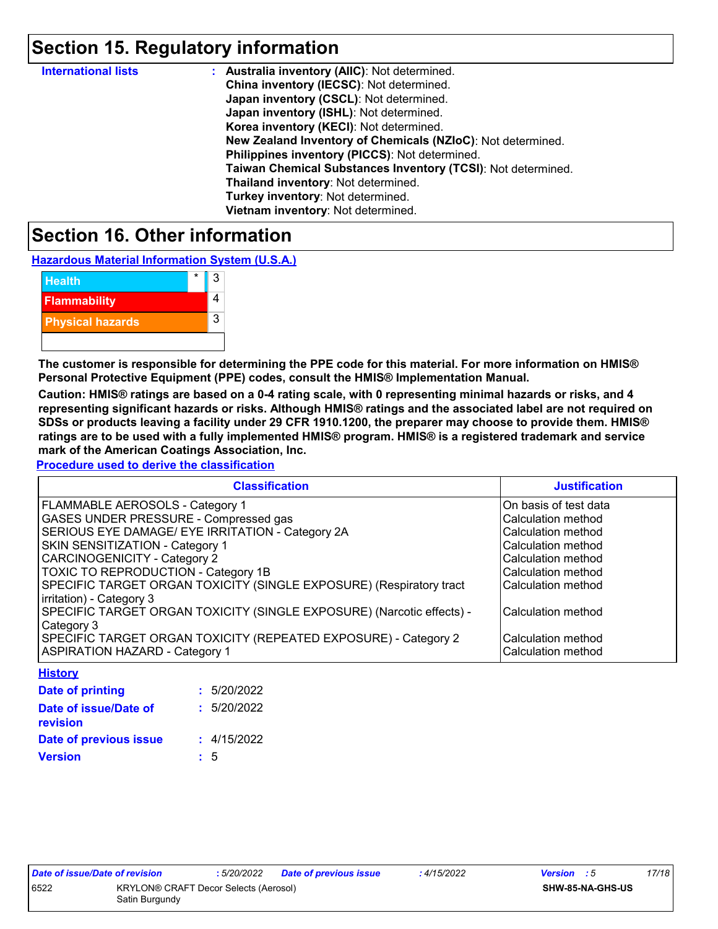## **Section 15. Regulatory information**

| <b>International lists</b> | : Australia inventory (AIIC): Not determined.                |
|----------------------------|--------------------------------------------------------------|
|                            | China inventory (IECSC): Not determined.                     |
|                            | Japan inventory (CSCL): Not determined.                      |
|                            | Japan inventory (ISHL): Not determined.                      |
|                            | Korea inventory (KECI): Not determined.                      |
|                            | New Zealand Inventory of Chemicals (NZIoC): Not determined.  |
|                            | Philippines inventory (PICCS): Not determined.               |
|                            | Taiwan Chemical Substances Inventory (TCSI): Not determined. |
|                            | Thailand inventory: Not determined.                          |
|                            | Turkey inventory: Not determined.                            |
|                            | Vietnam inventory: Not determined.                           |

### **Section 16. Other information**

**Hazardous Material Information System (U.S.A.)**

| <b>Health</b>           | 3 |
|-------------------------|---|
| <b>Flammability</b>     |   |
| <b>Physical hazards</b> | 3 |
|                         |   |

**The customer is responsible for determining the PPE code for this material. For more information on HMIS® Personal Protective Equipment (PPE) codes, consult the HMIS® Implementation Manual.**

**Caution: HMIS® ratings are based on a 0-4 rating scale, with 0 representing minimal hazards or risks, and 4 representing significant hazards or risks. Although HMIS® ratings and the associated label are not required on SDSs or products leaving a facility under 29 CFR 1910.1200, the preparer may choose to provide them. HMIS® ratings are to be used with a fully implemented HMIS® program. HMIS® is a registered trademark and service mark of the American Coatings Association, Inc.**

**Procedure used to derive the classification**

| <b>Classification</b>                                                 | <b>Justification</b>  |
|-----------------------------------------------------------------------|-----------------------|
| FLAMMABLE AEROSOLS - Category 1                                       | On basis of test data |
| <b>GASES UNDER PRESSURE - Compressed gas</b>                          | Calculation method    |
| SERIOUS EYE DAMAGE/ EYE IRRITATION - Category 2A                      | Calculation method    |
| <b>SKIN SENSITIZATION - Category 1</b>                                | Calculation method    |
| <b>CARCINOGENICITY - Category 2</b>                                   | Calculation method    |
| <b>TOXIC TO REPRODUCTION - Category 1B</b>                            | Calculation method    |
| SPECIFIC TARGET ORGAN TOXICITY (SINGLE EXPOSURE) (Respiratory tract   | Calculation method    |
| irritation) - Category 3                                              |                       |
| SPECIFIC TARGET ORGAN TOXICITY (SINGLE EXPOSURE) (Narcotic effects) - | Calculation method    |
| Category 3                                                            |                       |
| SPECIFIC TARGET ORGAN TOXICITY (REPEATED EXPOSURE) - Category 2       | Calculation method    |
| <b>ASPIRATION HAZARD - Category 1</b>                                 | Calculation method    |

| <b>History</b>                    |             |
|-----------------------------------|-------------|
| <b>Date of printing</b>           | : 5/20/2022 |
| Date of issue/Date of<br>revision | : 5/20/2022 |
| Date of previous issue            | : 4/15/2022 |
| <b>Version</b>                    | : 5         |